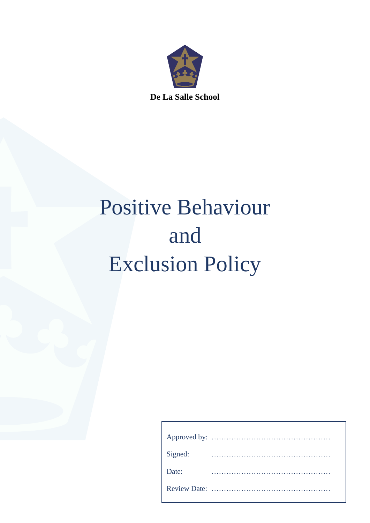

# Positive Behaviour and Exclusion Policy

| Signed: |  |
|---------|--|
| Date:   |  |
|         |  |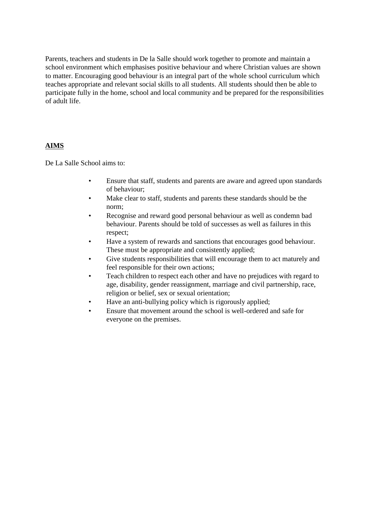Parents, teachers and students in De la Salle should work together to promote and maintain a school environment which emphasises positive behaviour and where Christian values are shown to matter. Encouraging good behaviour is an integral part of the whole school curriculum which teaches appropriate and relevant social skills to all students. All students should then be able to participate fully in the home, school and local community and be prepared for the responsibilities of adult life.

# **AIMS**

De La Salle School aims to:

- Ensure that staff, students and parents are aware and agreed upon standards of behaviour;
- Make clear to staff, students and parents these standards should be the norm;
- Recognise and reward good personal behaviour as well as condemn bad behaviour. Parents should be told of successes as well as failures in this respect;
- Have a system of rewards and sanctions that encourages good behaviour. These must be appropriate and consistently applied;
- Give students responsibilities that will encourage them to act maturely and feel responsible for their own actions;
- Teach children to respect each other and have no prejudices with regard to age, disability, gender reassignment, marriage and civil partnership, race, religion or belief, sex or sexual orientation;
- Have an anti-bullying policy which is rigorously applied;
- Ensure that movement around the school is well-ordered and safe for everyone on the premises.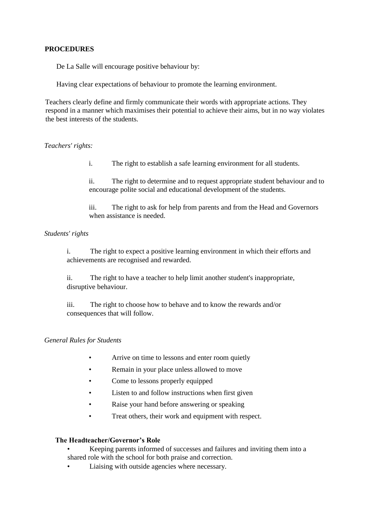## **PROCEDURES**

De La Salle will encourage positive behaviour by:

Having clear expectations of behaviour to promote the learning environment.

Teachers clearly define and firmly communicate their words with appropriate actions. They respond in a manner which maximises their potential to achieve their aims, but in no way violates the best interests of the students.

#### *Teachers' rights:*

i. The right to establish a safe learning environment for all students.

ii. The right to determine and to request appropriate student behaviour and to encourage polite social and educational development of the students.

iii. The right to ask for help from parents and from the Head and Governors when assistance is needed.

# *Students' rights*

i. The right to expect a positive learning environment in which their efforts and achievements are recognised and rewarded.

ii. The right to have a teacher to help limit another student's inappropriate, disruptive behaviour.

iii. The right to choose how to behave and to know the rewards and/or consequences that will follow.

# *General Rules for Students*

- Arrive on time to lessons and enter room quietly
- Remain in your place unless allowed to move
- Come to lessons properly equipped
- Listen to and follow instructions when first given
- Raise your hand before answering or speaking
- Treat others, their work and equipment with respect.

#### **The Headteacher/Governor's Role**

• Keeping parents informed of successes and failures and inviting them into a shared role with the school for both praise and correction.

Liaising with outside agencies where necessary.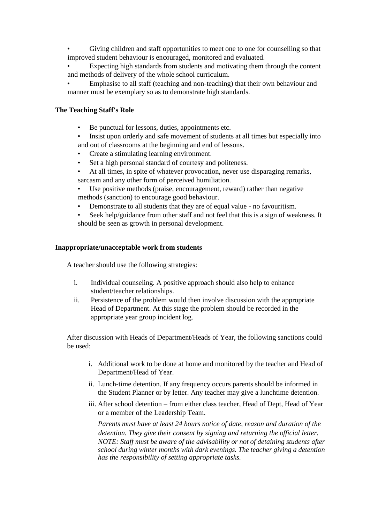- Giving children and staff opportunities to meet one to one for counselling so that improved student behaviour is encouraged, monitored and evaluated.
- Expecting high standards from students and motivating them through the content and methods of delivery of the whole school curriculum.
- Emphasise to all staff (teaching and non-teaching) that their own behaviour and manner must be exemplary so as to demonstrate high standards.

# **The Teaching Staff's Role**

- Be punctual for lessons, duties, appointments etc.
- Insist upon orderly and safe movement of students at all times but especially into and out of classrooms at the beginning and end of lessons.
- Create a stimulating learning environment.
- Set a high personal standard of courtesy and politeness.
- At all times, in spite of whatever provocation, never use disparaging remarks, sarcasm and any other form of perceived humiliation.
	- Use positive methods (praise, encouragement, reward) rather than negative methods (sanction) to encourage good behaviour.
	- Demonstrate to all students that they are of equal value no favouritism.
- Seek help/guidance from other staff and not feel that this is a sign of weakness. It should be seen as growth in personal development.

# **Inappropriate/unacceptable work from students**

A teacher should use the following strategies:

- i. Individual counseling. A positive approach should also help to enhance student/teacher relationships.
- ii. Persistence of the problem would then involve discussion with the appropriate Head of Department. At this stage the problem should be recorded in the appropriate year group incident log.

After discussion with Heads of Department/Heads of Year, the following sanctions could be used:

- i. Additional work to be done at home and monitored by the teacher and Head of Department/Head of Year.
- ii. Lunch-time detention. If any frequency occurs parents should be informed in the Student Planner or by letter. Any teacher may give a lunchtime detention.
- iii. After school detention from either class teacher, Head of Dept, Head of Year or a member of the Leadership Team.

*Parents must have at least 24 hours notice of date, reason and duration of the detention. They give their consent by signing and returning the official letter. NOTE: Staff must be aware of the advisability or not of detaining students after school during winter months with dark evenings. The teacher giving a detention has the responsibility of setting appropriate tasks.*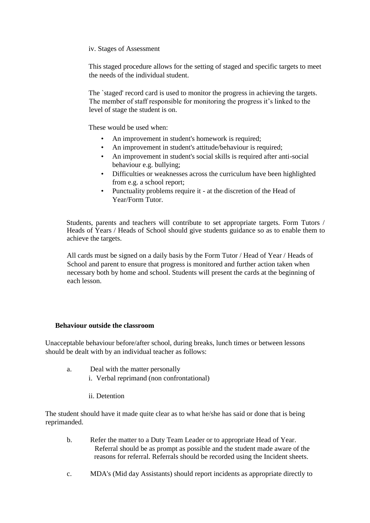#### iv. Stages of Assessment

This staged procedure allows for the setting of staged and specific targets to meet the needs of the individual student.

The `staged' record card is used to monitor the progress in achieving the targets. The member of staff responsible for monitoring the progress it's linked to the level of stage the student is on.

These would be used when:

- An improvement in student's homework is required;
- An improvement in student's attitude/behaviour is required;
- An improvement in student's social skills is required after anti-social behaviour e.g. bullying;
- Difficulties or weaknesses across the curriculum have been highlighted from e.g. a school report;
- Punctuality problems require it at the discretion of the Head of Year/Form Tutor.

Students, parents and teachers will contribute to set appropriate targets. Form Tutors / Heads of Years / Heads of School should give students guidance so as to enable them to achieve the targets.

All cards must be signed on a daily basis by the Form Tutor / Head of Year / Heads of School and parent to ensure that progress is monitored and further action taken when necessary both by home and school. Students will present the cards at the beginning of each lesson.

## **Behaviour outside the classroom**

Unacceptable behaviour before/after school, during breaks, lunch times or between lessons should be dealt with by an individual teacher as follows:

- a. Deal with the matter personally i. Verbal reprimand (non confrontational)
	- ii. Detention

The student should have it made quite clear as to what he/she has said or done that is being reprimanded.

- b. Refer the matter to a Duty Team Leader or to appropriate Head of Year. Referral should be as prompt as possible and the student made aware of the reasons for referral. Referrals should be recorded using the Incident sheets.
- c. MDA's (Mid day Assistants) should report incidents as appropriate directly to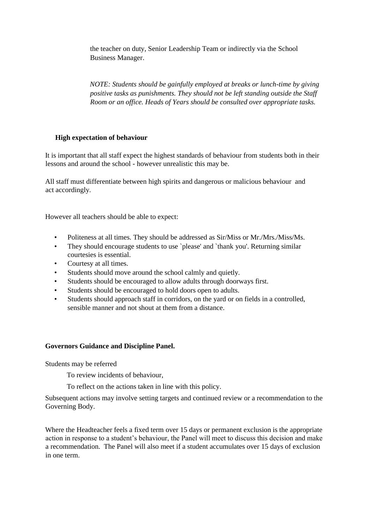the teacher on duty, Senior Leadership Team or indirectly via the School Business Manager.

*NOTE: Students should be gainfully employed at breaks or lunch-time by giving positive tasks as punishments. They should not be left standing outside the Staff Room or an office. Heads of Years should be consulted over appropriate tasks.* 

# **High expectation of behaviour**

It is important that all staff expect the highest standards of behaviour from students both in their lessons and around the school - however unrealistic this may be.

All staff must differentiate between high spirits and dangerous or malicious behaviour and act accordingly.

However all teachers should be able to expect:

- Politeness at all times. They should be addressed as Sir/Miss or Mr./Mrs./Miss/Ms.
- They should encourage students to use `please' and `thank you'. Returning similar courtesies is essential.
- Courtesy at all times.
- Students should move around the school calmly and quietly.
- Students should be encouraged to allow adults through doorways first.
- Students should be encouraged to hold doors open to adults.
- Students should approach staff in corridors, on the yard or on fields in a controlled, sensible manner and not shout at them from a distance.

# **Governors Guidance and Discipline Panel.**

Students may be referred

To review incidents of behaviour,

To reflect on the actions taken in line with this policy.

Subsequent actions may involve setting targets and continued review or a recommendation to the Governing Body.

Where the Headteacher feels a fixed term over 15 days or permanent exclusion is the appropriate action in response to a student's behaviour, the Panel will meet to discuss this decision and make a recommendation. The Panel will also meet if a student accumulates over 15 days of exclusion in one term.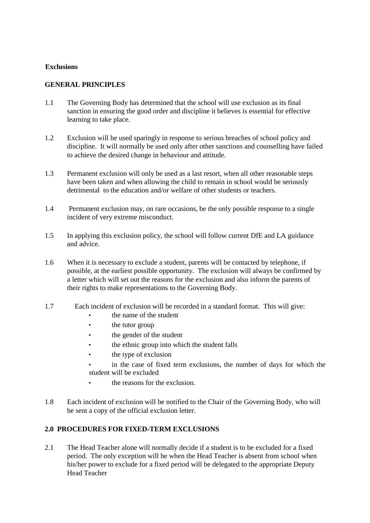#### **Exclusions**

# **GENERAL PRINCIPLES**

- 1.1 The Governing Body has determined that the school will use exclusion as its final sanction in ensuring the good order and discipline it believes is essential for effective learning to take place.
- 1.2 Exclusion will be used sparingly in response to serious breaches of school policy and discipline. It will normally be used only after other sanctions and counselling have failed to achieve the desired change in behaviour and attitude.
- 1.3 Permanent exclusion will only be used as a last resort, when all other reasonable steps have been taken and when allowing the child to remain in school would be seriously detrimental to the education and/or welfare of other students or teachers.
- 1.4 Permanent exclusion may, on rare occasions, be the only possible response to a single incident of very extreme misconduct.
- 1.5 In applying this exclusion policy, the school will follow current DfE and LA guidance and advice.
- 1.6 When it is necessary to exclude a student, parents will be contacted by telephone, if possible, at the earliest possible opportunity. The exclusion will always be confirmed by a letter which will set out the reasons for the exclusion and also inform the parents of their rights to make representations to the Governing Body.
- 1.7 Each incident of exclusion will be recorded in a standard format. This will give:
	- the name of the student
	- the tutor group
	- the gender of the student
	- the ethnic group into which the student falls
	- the type of exclusion
	- in the case of fixed term exclusions, the number of days for which the student will be excluded
		- the reasons for the exclusion.
- 1.8 Each incident of exclusion will be notified to the Chair of the Governing Body, who will be sent a copy of the official exclusion letter.

# **2.0 PROCEDURES FOR FIXED**‐**TERM EXCLUSIONS**

2.1 The Head Teacher alone will normally decide if a student is to be excluded for a fixed period. The only exception will be when the Head Teacher is absent from school when his/her power to exclude for a fixed period will be delegated to the appropriate Deputy Head Teacher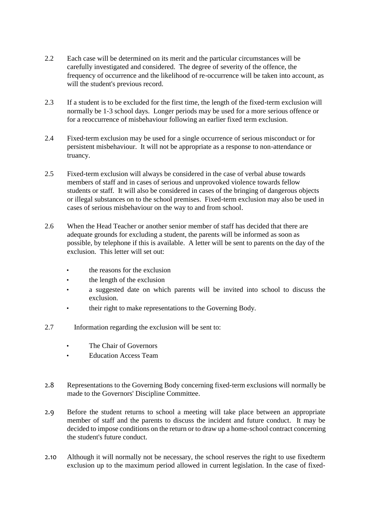- 2.2 Each case will be determined on its merit and the particular circumstances will be carefully investigated and considered. The degree of severity of the offence, the frequency of occurrence and the likelihood of re‐occurrence will be taken into account, as will the student's previous record.
- 2.3 If a student is to be excluded for the first time, the length of the fixed-term exclusion will normally be 1‐3 school days. Longer periods may be used for a more serious offence or for a reoccurrence of misbehaviour following an earlier fixed term exclusion.
- 2.4 Fixed-term exclusion may be used for a single occurrence of serious misconduct or for persistent misbehaviour. It will not be appropriate as a response to non‐attendance or truancy.
- 2.5 Fixed-term exclusion will always be considered in the case of verbal abuse towards members of staff and in cases of serious and unprovoked violence towards fellow students or staff. It will also be considered in cases of the bringing of dangerous objects or illegal substances on to the school premises. Fixed‐term exclusion may also be used in cases of serious misbehaviour on the way to and from school.
- 2.6 When the Head Teacher or another senior member of staff has decided that there are adequate grounds for excluding a student, the parents will be informed as soon as possible, by telephone if this is available. A letter will be sent to parents on the day of the exclusion. This letter will set out:
	- the reasons for the exclusion
	- the length of the exclusion
	- a suggested date on which parents will be invited into school to discuss the exclusion.
	- their right to make representations to the Governing Body.
- 2.7 Information regarding the exclusion will be sent to:
	- The Chair of Governors
	- Education Access Team
- 2.8 Representations to the Governing Body concerning fixed-term exclusions will normally be made to the Governors' Discipline Committee.
- 2.9 Before the student returns to school a meeting will take place between an appropriate member of staff and the parents to discuss the incident and future conduct. It may be decided to impose conditions on the return or to draw up a home‐school contract concerning the student's future conduct.
- 2.10 Although it will normally not be necessary, the school reserves the right to use fixedterm exclusion up to the maximum period allowed in current legislation. In the case of fixed-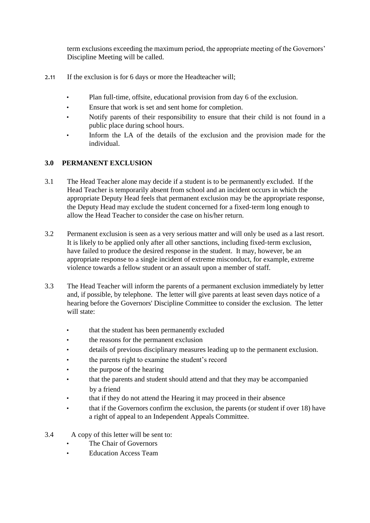term exclusions exceeding the maximum period, the appropriate meeting of the Governors' Discipline Meeting will be called.

- 2.11 If the exclusion is for 6 days or more the Headteacher will;
	- Plan full-time, offsite, educational provision from day 6 of the exclusion.
	- Ensure that work is set and sent home for completion.
	- Notify parents of their responsibility to ensure that their child is not found in a public place during school hours.
	- Inform the LA of the details of the exclusion and the provision made for the individual.

# **3.0 PERMANENT EXCLUSION**

- 3.1 The Head Teacher alone may decide if a student is to be permanently excluded. If the Head Teacher is temporarily absent from school and an incident occurs in which the appropriate Deputy Head feels that permanent exclusion may be the appropriate response, the Deputy Head may exclude the student concerned for a fixed‐term long enough to allow the Head Teacher to consider the case on his/her return.
- 3.2 Permanent exclusion is seen as a very serious matter and will only be used as a last resort. It is likely to be applied only after all other sanctions, including fixed-term exclusion, have failed to produce the desired response in the student. It may, however, be an appropriate response to a single incident of extreme misconduct, for example, extreme violence towards a fellow student or an assault upon a member of staff.
- 3.3 The Head Teacher will inform the parents of a permanent exclusion immediately by letter and, if possible, by telephone. The letter will give parents at least seven days notice of a hearing before the Governors' Discipline Committee to consider the exclusion. The letter will state:
	- that the student has been permanently excluded
	- the reasons for the permanent exclusion
	- details of previous disciplinary measures leading up to the permanent exclusion.
	- the parents right to examine the student's record
	- the purpose of the hearing
	- that the parents and student should attend and that they may be accompanied by a friend
	- that if they do not attend the Hearing it may proceed in their absence
	- that if the Governors confirm the exclusion, the parents (or student if over 18) have a right of appeal to an Independent Appeals Committee.
- 3.4 A copy of this letter will be sent to:
	- The Chair of Governors
	- Education Access Team